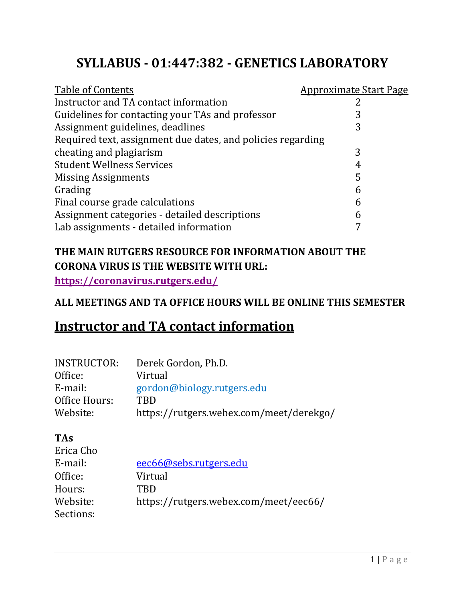## **SYLLABUS ‐ 01:447:382 ‐ GENETICS LABORATORY**

| <b>Table of Contents</b>                                    | <u>Approximate Start Page</u> |
|-------------------------------------------------------------|-------------------------------|
| Instructor and TA contact information                       |                               |
| Guidelines for contacting your TAs and professor            | 3                             |
| Assignment guidelines, deadlines                            | 3                             |
| Required text, assignment due dates, and policies regarding |                               |
| cheating and plagiarism                                     | 3                             |
| <b>Student Wellness Services</b>                            | 4                             |
| <b>Missing Assignments</b>                                  | 5                             |
| Grading                                                     | 6                             |
| Final course grade calculations                             | 6                             |
| Assignment categories - detailed descriptions               | 6                             |
| Lab assignments - detailed information                      |                               |

### **THE MAIN RUTGERS RESOURCE FOR INFORMATION ABOUT THE CORONA VIRUS IS THE WEBSITE WITH URL:**

**https://coronavirus.rutgers.edu/**

### **ALL MEETINGS AND TA OFFICE HOURS WILL BE ONLINE THIS SEMESTER**

### **Instructor and TA contact information**

| <b>INSTRUCTOR:</b> | Derek Gordon, Ph.D.                     |
|--------------------|-----------------------------------------|
| Office:            | Virtual                                 |
| E-mail:            | gordon@biology.rutgers.edu              |
| Office Hours:      | <b>TRD</b>                              |
| Website:           | https://rutgers.webex.com/meet/derekgo/ |
|                    |                                         |

#### **TAs**

| Erica Cho |                                       |
|-----------|---------------------------------------|
| E-mail:   | eec66@sebs.rutgers.edu                |
| Office:   | Virtual                               |
| Hours:    | TRD                                   |
| Website:  | https://rutgers.webex.com/meet/eec66/ |
| Sections: |                                       |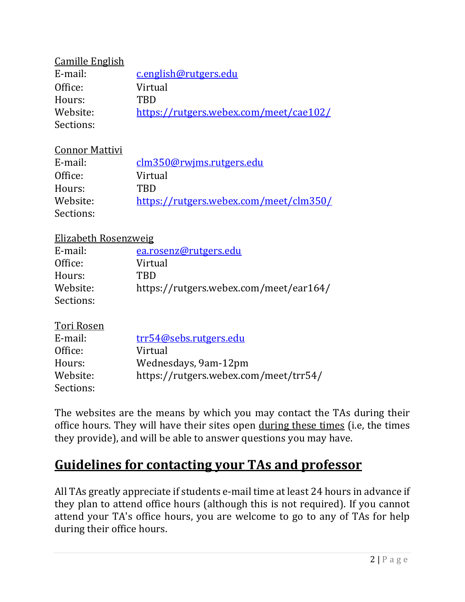| <b>Camille English</b> |                                        |
|------------------------|----------------------------------------|
| E-mail:                | c.english@rutgers.edu                  |
| Office:                | Virtual                                |
| Hours:                 | TRD                                    |
| Website:               | https://rutgers.webex.com/meet/cae102/ |
| Sections:              |                                        |

#### Connor Mattivi

| E-mail:   | clm350@rwjms.rutgers.edu               |
|-----------|----------------------------------------|
| Office:   | Virtual                                |
| Hours:    | TRD                                    |
| Website:  | https://rutgers.webex.com/meet/clm350/ |
| Sections: |                                        |

#### Elizabeth Rosenzweig

| E-mail:   | ea.rosenz@rutgers.edu                  |
|-----------|----------------------------------------|
| Office:   | Virtual                                |
| Hours:    | <b>TRD</b>                             |
| Website:  | https://rutgers.webex.com/meet/ear164/ |
| Sections: |                                        |

#### Tori Rosen

| E-mail:   | trr54@sebs.rutgers.edu                |
|-----------|---------------------------------------|
| Office:   | Virtual                               |
| Hours:    | Wednesdays, 9am-12pm                  |
| Website:  | https://rutgers.webex.com/meet/trr54/ |
| Sections: |                                       |

The websites are the means by which you may contact the TAs during their office hours. They will have their sites open during these times (i.e, the times they provide), and will be able to answer questions you may have.

## **Guidelines for contacting your TAs and professor**

All TAs greatly appreciate if students e-mail time at least 24 hours in advance if they plan to attend office hours (although this is not required). If you cannot attend your TA's office hours, you are welcome to go to any of TAs for help during their office hours.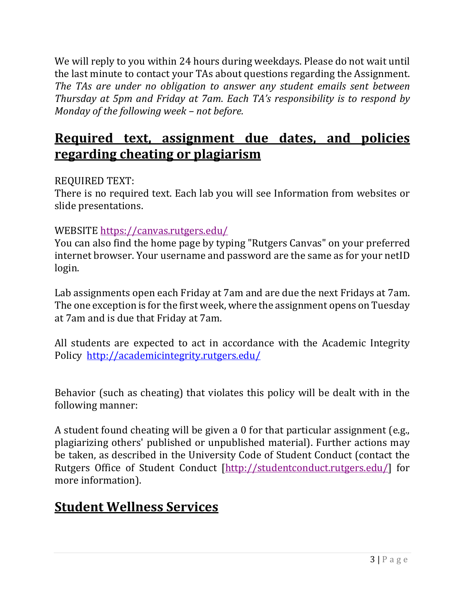We will reply to you within 24 hours during weekdays. Please do not wait until the last minute to contact your TAs about questions regarding the Assignment. *The TAs are under no obligation to answer any student emails sent between Thursday at 5pm and Friday at 7am*. *Each TA's responsibility is to respond by Monday of the following week – not before.* 

## **Required text, assignment due dates, and policies regarding cheating or plagiarism**

#### REQUIRED TEXT:

There is no required text. Each lab you will see Information from websites or slide presentations.

#### WEBSITE https://canvas.rutgers.edu/

You can also find the home page by typing "Rutgers Canvas" on your preferred internet browser. Your username and password are the same as for your netID login.

Lab assignments open each Friday at 7am and are due the next Fridays at 7am. The one exception is for the first week, where the assignment opens on Tuesday at 7am and is due that Friday at 7am.

All students are expected to act in accordance with the Academic Integrity Policy http://academicintegrity.rutgers.edu/

Behavior (such as cheating) that violates this policy will be dealt with in the following manner:

A student found cheating will be given a 0 for that particular assignment (e.g., plagiarizing others' published or unpublished material). Further actions may be taken, as described in the University Code of Student Conduct (contact the Rutgers Office of Student Conduct [http://studentconduct.rutgers.edu/] for more information).

## **Student Wellness Services**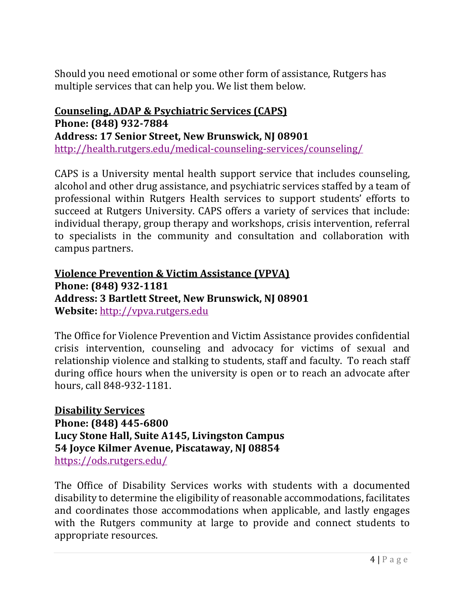Should you need emotional or some other form of assistance, Rutgers has multiple services that can help you. We list them below.

**Counseling, ADAP & Psychiatric Services (CAPS) Phone: (848) 932‐7884 Address: 17 Senior Street, New Brunswick, NJ 08901** http://health.rutgers.edu/medical-counseling-services/counseling/

CAPS is a University mental health support service that includes counseling, alcohol and other drug assistance, and psychiatric services staffed by a team of professional within Rutgers Health services to support students' efforts to succeed at Rutgers University. CAPS offers a variety of services that include: individual therapy, group therapy and workshops, crisis intervention, referral to specialists in the community and consultation and collaboration with campus partners.

**Violence Prevention & Victim Assistance (VPVA) Phone: (848) 932‐1181 Address: 3 Bartlett Street, New Brunswick, NJ 08901 Website:** http://vpva.rutgers.edu

The Office for Violence Prevention and Victim Assistance provides confidential crisis intervention, counseling and advocacy for victims of sexual and relationship violence and stalking to students, staff and faculty. To reach staff during office hours when the university is open or to reach an advocate after hours, call 848-932-1181.

**Disability Services Phone: (848) 445‐6800 Lucy Stone Hall, Suite A145, Livingston Campus 54 Joyce Kilmer Avenue, Piscataway, NJ 08854** https://ods.rutgers.edu/

The Office of Disability Services works with students with a documented disability to determine the eligibility of reasonable accommodations, facilitates and coordinates those accommodations when applicable, and lastly engages with the Rutgers community at large to provide and connect students to appropriate resources.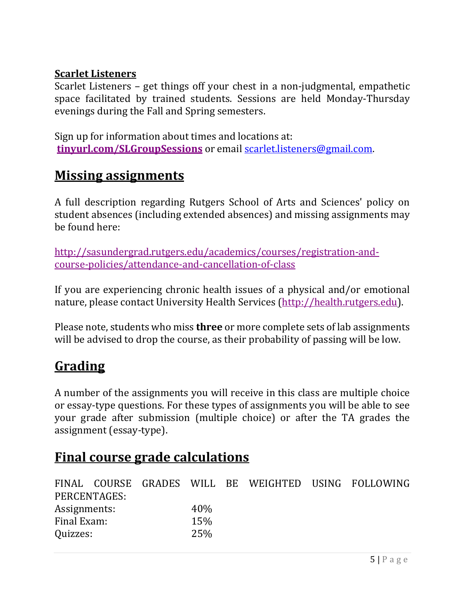#### **Scarlet Listeners**

Scarlet Listeners – get things off your chest in a non-judgmental, empathetic space facilitated by trained students. Sessions are held Monday-Thursday evenings during the Fall and Spring semesters.

Sign up for information about times and locations at: **tinyurl.com/SLGroupSessions** or email scarlet.listeners@gmail.com.

### **Missing assignments**

A full description regarding Rutgers School of Arts and Sciences' policy on student absences (including extended absences) and missing assignments may be found here:

http://sasundergrad.rutgers.edu/academics/courses/registration-andcourse-policies/attendance-and-cancellation-of-class

If you are experiencing chronic health issues of a physical and/or emotional nature, please contact University Health Services (http://health.rutgers.edu).

Please note, students who miss **three** or more complete sets of lab assignments will be advised to drop the course, as their probability of passing will be low.

# **Grading**

A number of the assignments you will receive in this class are multiple choice or essay-type questions. For these types of assignments you will be able to see your grade after submission (multiple choice) or after the TA grades the assignment (essay-type).

### **Final course grade calculations**

|              |              |     |  | FINAL COURSE GRADES WILL BE WEIGHTED USING FOLLOWING |
|--------------|--------------|-----|--|------------------------------------------------------|
|              | PERCENTAGES: |     |  |                                                      |
| Assignments: |              | 40% |  |                                                      |
| Final Exam:  |              | 15% |  |                                                      |
| Quizzes:     |              | 25% |  |                                                      |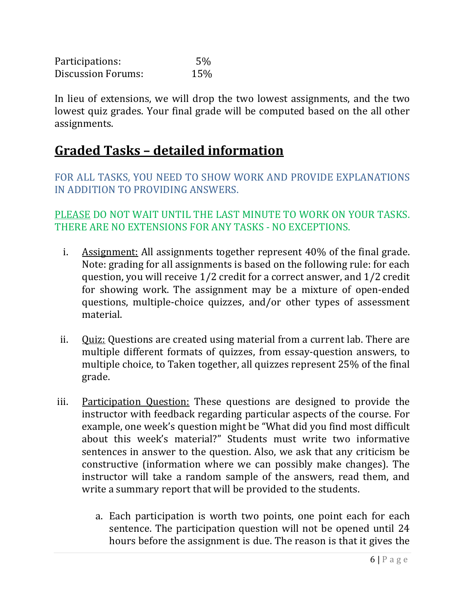Participations: 5% Discussion Forums: 15%

In lieu of extensions, we will drop the two lowest assignments, and the two lowest quiz grades. Your final grade will be computed based on the all other assignments.

### **Graded Tasks – detailed information**

FOR ALL TASKS, YOU NEED TO SHOW WORK AND PROVIDE EXPLANATIONS IN ADDITION TO PROVIDING ANSWERS.

PLEASE DO NOT WAIT UNTIL THE LAST MINUTE TO WORK ON YOUR TASKS. THERE ARE NO EXTENSIONS FOR ANY TASKS - NO EXCEPTIONS.

- i. Assignment: All assignments together represent 40% of the final grade. Note: grading for all assignments is based on the following rule: for each question, you will receive 1/2 credit for a correct answer, and 1/2 credit for showing work. The assignment may be a mixture of open-ended questions, multiple-choice quizzes, and/or other types of assessment material.
- ii. Quiz: Questions are created using material from a current lab. There are multiple different formats of quizzes, from essay-question answers, to multiple choice, to Taken together, all quizzes represent 25% of the final grade.
- iii. Participation Question: These questions are designed to provide the instructor with feedback regarding particular aspects of the course. For example, one week's question might be "What did you find most difficult about this week's material?" Students must write two informative sentences in answer to the question. Also, we ask that any criticism be constructive (information where we can possibly make changes). The instructor will take a random sample of the answers, read them, and write a summary report that will be provided to the students.
	- a. Each participation is worth two points, one point each for each sentence. The participation question will not be opened until 24 hours before the assignment is due. The reason is that it gives the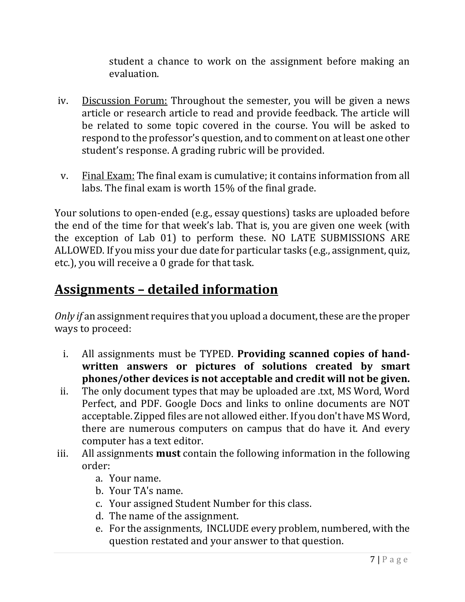student a chance to work on the assignment before making an evaluation.

- iv. Discussion Forum: Throughout the semester, you will be given a news article or research article to read and provide feedback. The article will be related to some topic covered in the course. You will be asked to respond to the professor's question, and to comment on at least one other student's response. A grading rubric will be provided.
- v. Final Exam: The final exam is cumulative; it contains information from all labs. The final exam is worth 15% of the final grade.

Your solutions to open-ended (e.g., essay questions) tasks are uploaded before the end of the time for that week's lab. That is, you are given one week (with the exception of Lab 01) to perform these. NO LATE SUBMISSIONS ARE ALLOWED. If you miss your due date for particular tasks (e.g., assignment, quiz, etc.), you will receive a 0 grade for that task.

### **Assignments – detailed information**

*Only if* an assignment requires that you upload a document, these are the proper ways to proceed:

- i. All assignments must be TYPED. **Providing scanned copies of hand‐ written answers or pictures of solutions created by smart phones/other devices is not acceptable and credit will not be given.**
- ii. The only document types that may be uploaded are .txt, MS Word, Word Perfect, and PDF. Google Docs and links to online documents are NOT acceptable. Zipped files are not allowed either. If you don't have MS Word, there are numerous computers on campus that do have it. And every computer has a text editor.
- iii. All assignments **must** contain the following information in the following order:
	- a. Your name.
	- b. Your TA's name.
	- c. Your assigned Student Number for this class.
	- d. The name of the assignment.
	- e. For the assignments, INCLUDE every problem, numbered, with the question restated and your answer to that question.